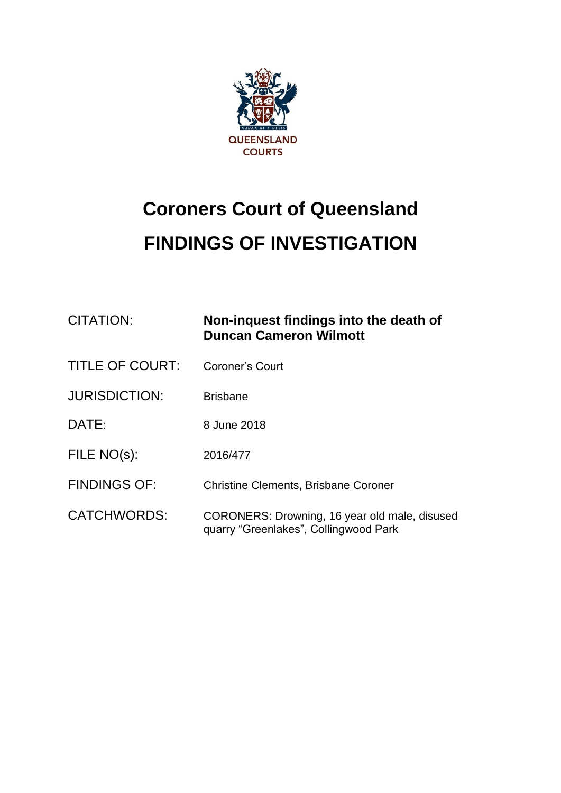

## **Coroners Court of Queensland FINDINGS OF INVESTIGATION**

| <b>CITATION:</b>       | Non-inquest findings into the death of<br><b>Duncan Cameron Wilmott</b>                |
|------------------------|----------------------------------------------------------------------------------------|
| <b>TITLE OF COURT:</b> | <b>Coroner's Court</b>                                                                 |
| <b>JURISDICTION:</b>   | <b>Brisbane</b>                                                                        |
| DATE:                  | 8 June 2018                                                                            |
| FILE NO(s):            | 2016/477                                                                               |
| <b>FINDINGS OF:</b>    | <b>Christine Clements, Brisbane Coroner</b>                                            |
| <b>CATCHWORDS:</b>     | CORONERS: Drowning, 16 year old male, disused<br>quarry "Greenlakes", Collingwood Park |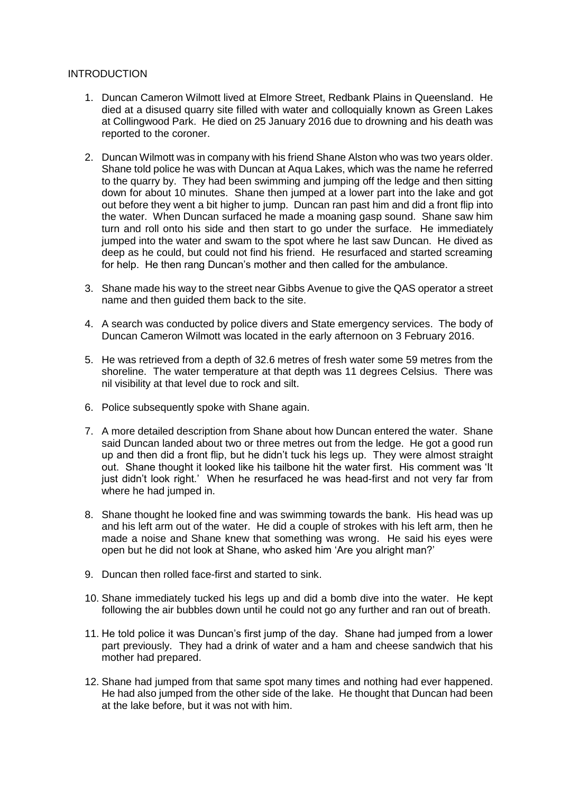## **INTRODUCTION**

- 1. Duncan Cameron Wilmott lived at Elmore Street, Redbank Plains in Queensland. He died at a disused quarry site filled with water and colloquially known as Green Lakes at Collingwood Park. He died on 25 January 2016 due to drowning and his death was reported to the coroner.
- 2. Duncan Wilmott was in company with his friend Shane Alston who was two years older. Shane told police he was with Duncan at Aqua Lakes, which was the name he referred to the quarry by. They had been swimming and jumping off the ledge and then sitting down for about 10 minutes. Shane then jumped at a lower part into the lake and got out before they went a bit higher to jump. Duncan ran past him and did a front flip into the water. When Duncan surfaced he made a moaning gasp sound. Shane saw him turn and roll onto his side and then start to go under the surface. He immediately jumped into the water and swam to the spot where he last saw Duncan. He dived as deep as he could, but could not find his friend. He resurfaced and started screaming for help. He then rang Duncan's mother and then called for the ambulance.
- 3. Shane made his way to the street near Gibbs Avenue to give the QAS operator a street name and then guided them back to the site.
- 4. A search was conducted by police divers and State emergency services. The body of Duncan Cameron Wilmott was located in the early afternoon on 3 February 2016.
- 5. He was retrieved from a depth of 32.6 metres of fresh water some 59 metres from the shoreline. The water temperature at that depth was 11 degrees Celsius. There was nil visibility at that level due to rock and silt.
- 6. Police subsequently spoke with Shane again.
- 7. A more detailed description from Shane about how Duncan entered the water. Shane said Duncan landed about two or three metres out from the ledge. He got a good run up and then did a front flip, but he didn't tuck his legs up. They were almost straight out. Shane thought it looked like his tailbone hit the water first. His comment was 'It just didn't look right.' When he resurfaced he was head-first and not very far from where he had jumped in.
- 8. Shane thought he looked fine and was swimming towards the bank. His head was up and his left arm out of the water. He did a couple of strokes with his left arm, then he made a noise and Shane knew that something was wrong. He said his eyes were open but he did not look at Shane, who asked him 'Are you alright man?'
- 9. Duncan then rolled face-first and started to sink.
- 10. Shane immediately tucked his legs up and did a bomb dive into the water. He kept following the air bubbles down until he could not go any further and ran out of breath.
- 11. He told police it was Duncan's first jump of the day. Shane had jumped from a lower part previously. They had a drink of water and a ham and cheese sandwich that his mother had prepared.
- 12. Shane had jumped from that same spot many times and nothing had ever happened. He had also jumped from the other side of the lake. He thought that Duncan had been at the lake before, but it was not with him.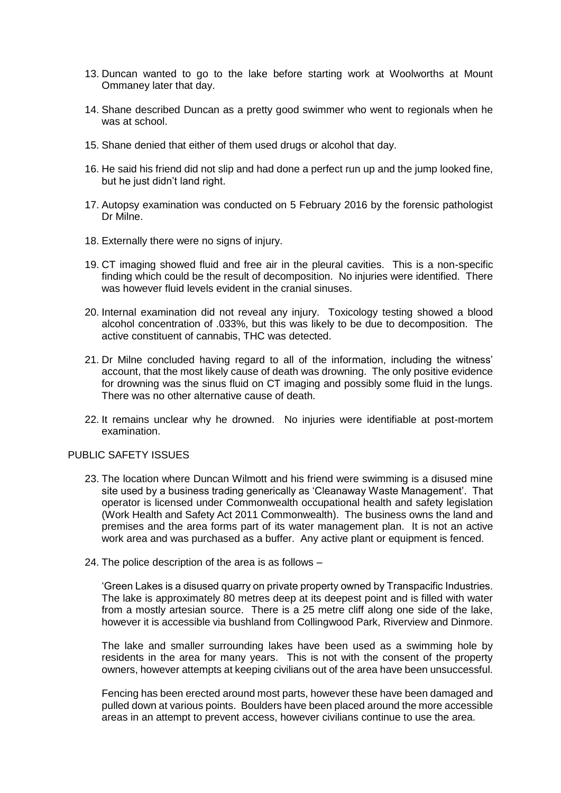- 13. Duncan wanted to go to the lake before starting work at Woolworths at Mount Ommaney later that day.
- 14. Shane described Duncan as a pretty good swimmer who went to regionals when he was at school.
- 15. Shane denied that either of them used drugs or alcohol that day.
- 16. He said his friend did not slip and had done a perfect run up and the jump looked fine, but he just didn't land right.
- 17. Autopsy examination was conducted on 5 February 2016 by the forensic pathologist Dr Milne.
- 18. Externally there were no signs of injury.
- 19. CT imaging showed fluid and free air in the pleural cavities. This is a non-specific finding which could be the result of decomposition. No injuries were identified. There was however fluid levels evident in the cranial sinuses.
- 20. Internal examination did not reveal any injury. Toxicology testing showed a blood alcohol concentration of .033%, but this was likely to be due to decomposition. The active constituent of cannabis, THC was detected.
- 21. Dr Milne concluded having regard to all of the information, including the witness' account, that the most likely cause of death was drowning. The only positive evidence for drowning was the sinus fluid on CT imaging and possibly some fluid in the lungs. There was no other alternative cause of death.
- 22. It remains unclear why he drowned. No injuries were identifiable at post-mortem examination.

## PUBLIC SAFETY ISSUES

- 23. The location where Duncan Wilmott and his friend were swimming is a disused mine site used by a business trading generically as 'Cleanaway Waste Management'. That operator is licensed under Commonwealth occupational health and safety legislation (Work Health and Safety Act 2011 Commonwealth). The business owns the land and premises and the area forms part of its water management plan. It is not an active work area and was purchased as a buffer. Any active plant or equipment is fenced.
- 24. The police description of the area is as follows –

'Green Lakes is a disused quarry on private property owned by Transpacific Industries. The lake is approximately 80 metres deep at its deepest point and is filled with water from a mostly artesian source. There is a 25 metre cliff along one side of the lake, however it is accessible via bushland from Collingwood Park, Riverview and Dinmore.

The lake and smaller surrounding lakes have been used as a swimming hole by residents in the area for many years. This is not with the consent of the property owners, however attempts at keeping civilians out of the area have been unsuccessful.

Fencing has been erected around most parts, however these have been damaged and pulled down at various points. Boulders have been placed around the more accessible areas in an attempt to prevent access, however civilians continue to use the area.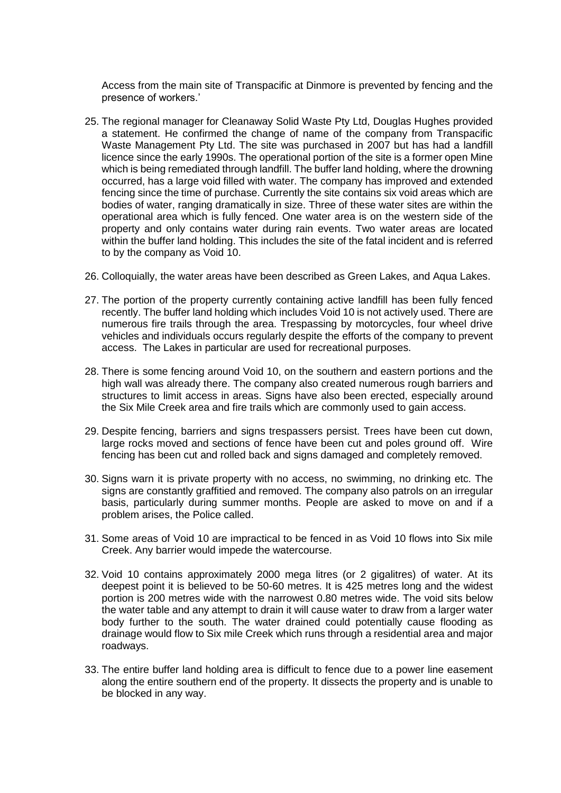Access from the main site of Transpacific at Dinmore is prevented by fencing and the presence of workers.'

- 25. The regional manager for Cleanaway Solid Waste Pty Ltd, Douglas Hughes provided a statement. He confirmed the change of name of the company from Transpacific Waste Management Pty Ltd. The site was purchased in 2007 but has had a landfill licence since the early 1990s. The operational portion of the site is a former open Mine which is being remediated through landfill. The buffer land holding, where the drowning occurred, has a large void filled with water. The company has improved and extended fencing since the time of purchase. Currently the site contains six void areas which are bodies of water, ranging dramatically in size. Three of these water sites are within the operational area which is fully fenced. One water area is on the western side of the property and only contains water during rain events. Two water areas are located within the buffer land holding. This includes the site of the fatal incident and is referred to by the company as Void 10.
- 26. Colloquially, the water areas have been described as Green Lakes, and Aqua Lakes.
- 27. The portion of the property currently containing active landfill has been fully fenced recently. The buffer land holding which includes Void 10 is not actively used. There are numerous fire trails through the area. Trespassing by motorcycles, four wheel drive vehicles and individuals occurs regularly despite the efforts of the company to prevent access. The Lakes in particular are used for recreational purposes.
- 28. There is some fencing around Void 10, on the southern and eastern portions and the high wall was already there. The company also created numerous rough barriers and structures to limit access in areas. Signs have also been erected, especially around the Six Mile Creek area and fire trails which are commonly used to gain access.
- 29. Despite fencing, barriers and signs trespassers persist. Trees have been cut down, large rocks moved and sections of fence have been cut and poles ground off. Wire fencing has been cut and rolled back and signs damaged and completely removed.
- 30. Signs warn it is private property with no access, no swimming, no drinking etc. The signs are constantly graffitied and removed. The company also patrols on an irregular basis, particularly during summer months. People are asked to move on and if a problem arises, the Police called.
- 31. Some areas of Void 10 are impractical to be fenced in as Void 10 flows into Six mile Creek. Any barrier would impede the watercourse.
- 32. Void 10 contains approximately 2000 mega litres (or 2 gigalitres) of water. At its deepest point it is believed to be 50-60 metres. It is 425 metres long and the widest portion is 200 metres wide with the narrowest 0.80 metres wide. The void sits below the water table and any attempt to drain it will cause water to draw from a larger water body further to the south. The water drained could potentially cause flooding as drainage would flow to Six mile Creek which runs through a residential area and major roadways.
- 33. The entire buffer land holding area is difficult to fence due to a power line easement along the entire southern end of the property. It dissects the property and is unable to be blocked in any way.